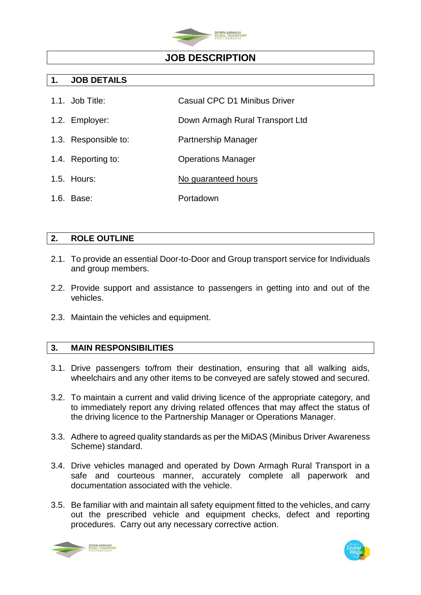

## **JOB DESCRIPTION**

### **1. JOB DETAILS**

- 1.1. Job Title: Casual CPC D1 Minibus Driver
- 1.2. Employer: Down Armagh Rural Transport Ltd
- 1.3. Responsible to: Partnership Manager
- 1.4. Reporting to: Operations Manager
- 1.5. Hours: No guaranteed hours
- 1.6. Base: Portadown

### **2. ROLE OUTLINE**

- 2.1. To provide an essential Door-to-Door and Group transport service for Individuals and group members.
- 2.2. Provide support and assistance to passengers in getting into and out of the vehicles.
- 2.3. Maintain the vehicles and equipment.

## **3. MAIN RESPONSIBILITIES**

- 3.1. Drive passengers to/from their destination, ensuring that all walking aids, wheelchairs and any other items to be conveyed are safely stowed and secured.
- 3.2. To maintain a current and valid driving licence of the appropriate category, and to immediately report any driving related offences that may affect the status of the driving licence to the Partnership Manager or Operations Manager.
- 3.3. Adhere to agreed quality standards as per the MiDAS (Minibus Driver Awareness Scheme) standard.
- 3.4. Drive vehicles managed and operated by Down Armagh Rural Transport in a safe and courteous manner, accurately complete all paperwork and documentation associated with the vehicle.
- 3.5. Be familiar with and maintain all safety equipment fitted to the vehicles, and carry out the prescribed vehicle and equipment checks, defect and reporting procedures. Carry out any necessary corrective action.



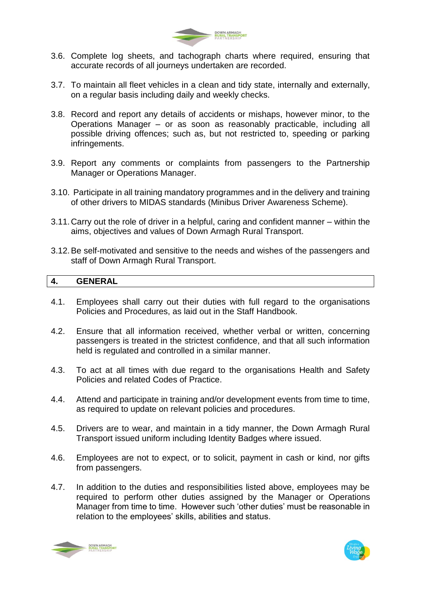

- 3.6. Complete log sheets, and tachograph charts where required, ensuring that accurate records of all journeys undertaken are recorded.
- 3.7. To maintain all fleet vehicles in a clean and tidy state, internally and externally, on a regular basis including daily and weekly checks.
- 3.8. Record and report any details of accidents or mishaps, however minor, to the Operations Manager – or as soon as reasonably practicable, including all possible driving offences; such as, but not restricted to, speeding or parking infringements.
- 3.9. Report any comments or complaints from passengers to the Partnership Manager or Operations Manager.
- 3.10. Participate in all training mandatory programmes and in the delivery and training of other drivers to MIDAS standards (Minibus Driver Awareness Scheme).
- 3.11.Carry out the role of driver in a helpful, caring and confident manner within the aims, objectives and values of Down Armagh Rural Transport.
- 3.12.Be self-motivated and sensitive to the needs and wishes of the passengers and staff of Down Armagh Rural Transport.

#### **4. GENERAL**

- 4.1. Employees shall carry out their duties with full regard to the organisations Policies and Procedures, as laid out in the Staff Handbook.
- 4.2. Ensure that all information received, whether verbal or written, concerning passengers is treated in the strictest confidence, and that all such information held is regulated and controlled in a similar manner.
- 4.3. To act at all times with due regard to the organisations Health and Safety Policies and related Codes of Practice.
- 4.4. Attend and participate in training and/or development events from time to time, as required to update on relevant policies and procedures.
- 4.5. Drivers are to wear, and maintain in a tidy manner, the Down Armagh Rural Transport issued uniform including Identity Badges where issued.
- 4.6. Employees are not to expect, or to solicit, payment in cash or kind, nor gifts from passengers.
- 4.7. In addition to the duties and responsibilities listed above, employees may be required to perform other duties assigned by the Manager or Operations Manager from time to time. However such 'other duties' must be reasonable in relation to the employees' skills, abilities and status.